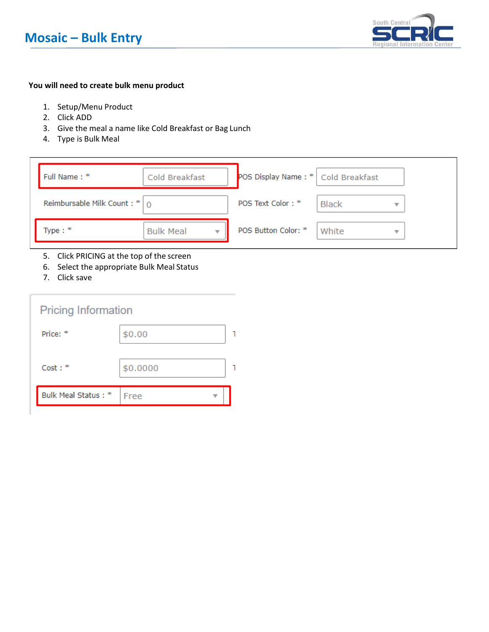

### **You will need to create bulk menu product**

- 1. Setup/Menu Product
- 2. Click ADD
- 3. Give the meal a name like Cold Breakfast or Bag Lunch
- 4. Type is Bulk Meal

| Full Name: *                    | Cold Breakfast   | POS Display Name: *   Cold Breakfast |                                  |  |
|---------------------------------|------------------|--------------------------------------|----------------------------------|--|
| Reimbursable Milk Count: $* _0$ |                  | POS Text Color: *                    | <b>Black</b><br>v                |  |
| Type: $*$                       | <b>Bulk Meal</b> | POS Button Color: *                  | White<br>$\overline{\mathbf{v}}$ |  |

- 5. Click PRICING at the top of the screen
- 6. Select the appropriate Bulk Meal Status
- 7. Click save

| <b>Pricing Information</b> |          |  |
|----------------------------|----------|--|
| Price: *                   | \$0.00   |  |
| Cost:                      | \$0.0000 |  |
| Bulk Meal Status: *        | Free     |  |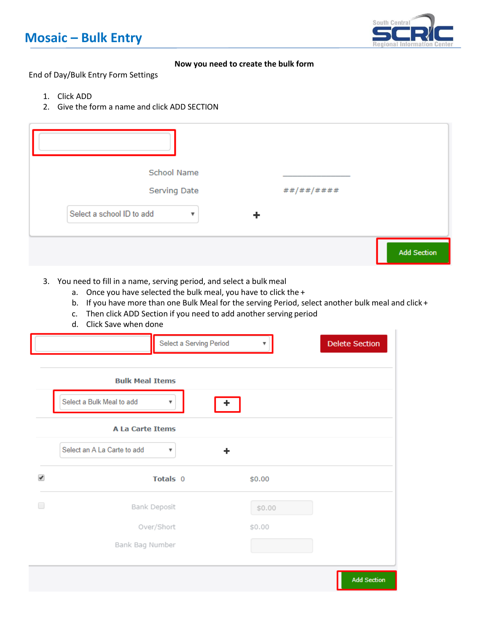## **Mosaic – Bulk Entry**



### **Now you need to create the bulk form**

End of Day/Bulk Entry Form Settings

- 1. Click ADD
- 2. Give the form a name and click ADD SECTION

| School Name<br>Serving Date<br>##/##/#### |                    |
|-------------------------------------------|--------------------|
| Select a school ID to add                 |                    |
|                                           | <b>Add Section</b> |

- 3. You need to fill in a name, serving period, and select a bulk meal
	- a. Once you have selected the bulk meal, you have to click the +
	- b. If you have more than one Bulk Meal for the serving Period, select another bulk meal and click +
	- c. Then click ADD Section if you need to add another serving period
	- d. Click Save when done

|   |                                                                                   | Select a Serving Period |        | <b>Delete Section</b> |
|---|-----------------------------------------------------------------------------------|-------------------------|--------|-----------------------|
|   | <b>Bulk Meal Items</b><br>Select a Bulk Meal to add<br>▼                          |                         |        |                       |
|   | <b>A La Carte Items</b><br>Select an A La Carte to add<br>$\overline{\mathbf{v}}$ | ÷                       |        |                       |
| ✔ | Totals 0                                                                          |                         | \$0.00 |                       |
| □ | Bank Deposit                                                                      |                         | \$0.00 |                       |
|   | Over/Short                                                                        |                         | \$0.00 |                       |
|   | Bank Bag Number                                                                   |                         |        |                       |
|   |                                                                                   |                         |        | <b>Add Section</b>    |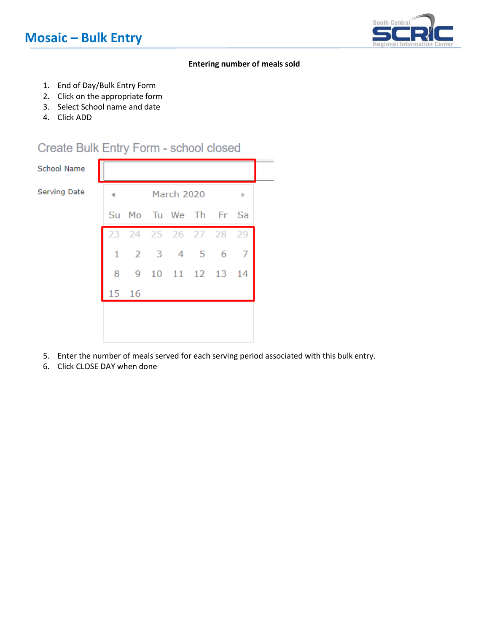

#### **Entering number of meals sold**

- 1. End of Day/Bulk Entry Form
- 2. Click on the appropriate form
- 3. Select School name and date
- 4. Click ADD

### Create Bulk Entry Form - school closed

School Name

Serving Date



- 5. Enter the number of meals served for each serving period associated with this bulk entry.
- 6. Click CLOSE DAY when done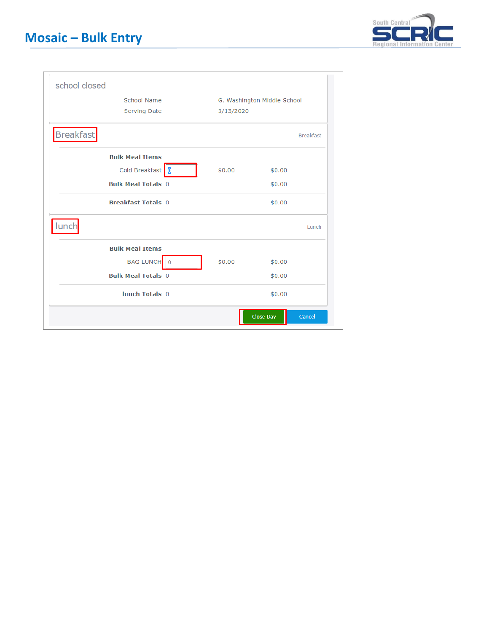

| school closed             |                             |                  |                  |
|---------------------------|-----------------------------|------------------|------------------|
| <b>School Name</b>        | G. Washington Middle School |                  |                  |
| Serving Date              | 3/13/2020                   |                  |                  |
| <b>Breakfast</b>          |                             |                  | <b>Breakfast</b> |
| <b>Bulk Meal Items</b>    |                             |                  |                  |
| Cold Breakfast 0          | \$0.00                      | \$0.00           |                  |
| <b>Bulk Meal Totals 0</b> |                             | \$0.00           |                  |
| <b>Breakfast Totals 0</b> |                             | \$0.00           |                  |
| lunch                     |                             |                  | Lunch            |
| <b>Bulk Meal Items</b>    |                             |                  |                  |
| BAG LUNCH 0               | \$0.00                      | \$0.00           |                  |
| <b>Bulk Meal Totals 0</b> |                             | \$0.00           |                  |
| lunch Totals 0            |                             | \$0.00           |                  |
|                           |                             | <b>Close Day</b> | Cancel           |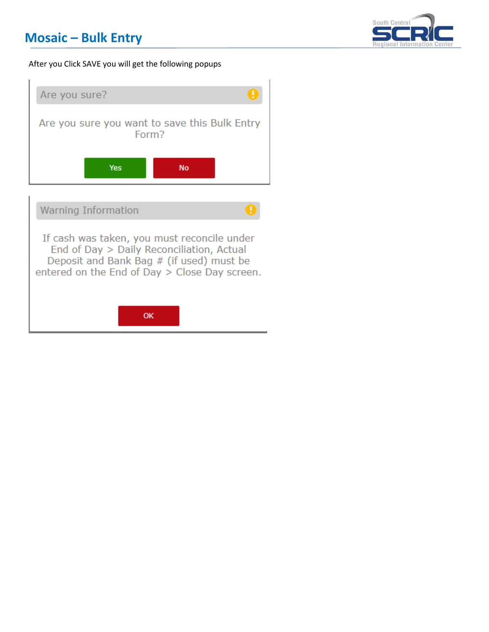## **Mosaic – Bulk Entry**



#### After you Click SAVE you will get the following popups



OK